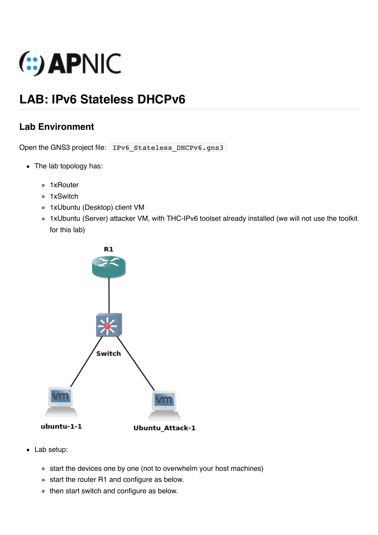

# **LAB: IPv6 Stateless DHCPv6**

## **Lab Environment**

Open the GNS3 project file: IPv6 Stateless DHCPv6.gns3

- The lab topology has:
	- 1xRouter
	- o 1xSwitch
	- 1xUbuntu (Desktop) client VM
	- 1xUbuntu (Server) attacker VM, with THC-IPv6 toolset already installed (we will not use the toolkit for this lab)



- Lab setup:
	- o start the devices one by one (not to overwhelm your host machines)
	- start the router R1 and configure as below.
	- then start switch and configure as below.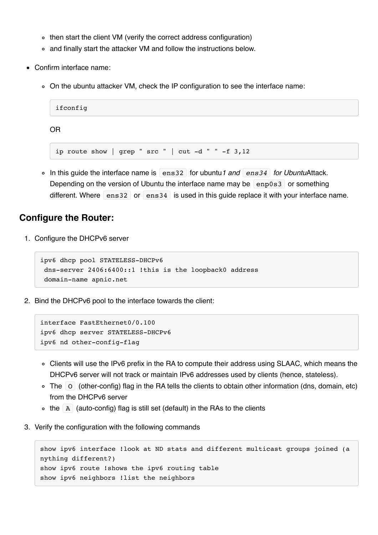- then start the client VM (verify the correct address configuration)
- and finally start the attacker VM and follow the instructions below.
- Confirm interface name:
	- On the ubuntu attacker VM, check the IP configuration to see the interface name:

```
ifconfig
OR
```
ip route show | grep "  $src$  " |  $cut -d$  " " -f 3,12

In this guide the interface name is ens32 for ubuntu*1 and ens34 for Ubuntu*Attack. Depending on the version of Ubuntu the interface name may be  $\left[$  enp0s3 $\right]$  or something different. Where ens32 or ens34 is used in this guide replace it with your interface name.

#### **Configure the Router:**

1. Configure the DHCPv6 server

```
ipv6 dhcp pool STATELESS-DHCPv6
 dns-server 2406:6400::1 !this is the loopback0 address
 domain-name apnic.net
```
2. Bind the DHCPv6 pool to the interface towards the client:

```
interface FastEthernet0/0.100
ipv6 dhcp server STATELESS-DHCPv6
ipv6 nd other-config-flag
```
- Clients will use the IPv6 prefix in the RA to compute their address using SLAAC, which means the DHCPv6 server will not track or maintain IPv6 addresses used by clients (hence, stateless).
- $\circ$  The  $\circ$  (other-config) flag in the RA tells the clients to obtain other information (dns, domain, etc) from the DHCPv6 server
- $\circ$  the A (auto-config) flag is still set (default) in the RAs to the clients
- 3. Verify the configuration with the following commands

```
show ipv6 interface !look at ND stats and different multicast groups joined (a
nything different?)
show ipv6 route !shows the ipv6 routing table
show ipv6 neighbors !list the neighbors
```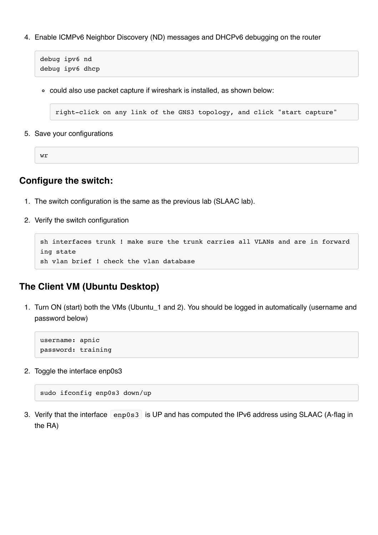4. Enable ICMPv6 Neighbor Discovery (ND) messages and DHCPv6 debugging on the router

```
debug ipv6 nd
debug ipv6 dhcp
```
could also use packet capture if wireshark is installed, as shown below:

right-click on any link of the GNS3 topology, and click "start capture"

5. Save your configurations

wr

#### **Configure the switch:**

- 1. The switch configuration is the same as the previous lab (SLAAC lab).
- 2. Verify the switch configuration

```
sh interfaces trunk ! make sure the trunk carries all VLANs and are in forward
ing state
sh vlan brief ! check the vlan database
```
### **The Client VM (Ubuntu Desktop)**

1. Turn ON (start) both the VMs (Ubuntu\_1 and 2). You should be logged in automatically (username and password below)

username: apnic password: training

2. Toggle the interface enp0s3

```
sudo ifconfig enp0s3 down/up
```
3. Verify that the interface enp0s3 is UP and has computed the IPv6 address using SLAAC (A-flag in the RA)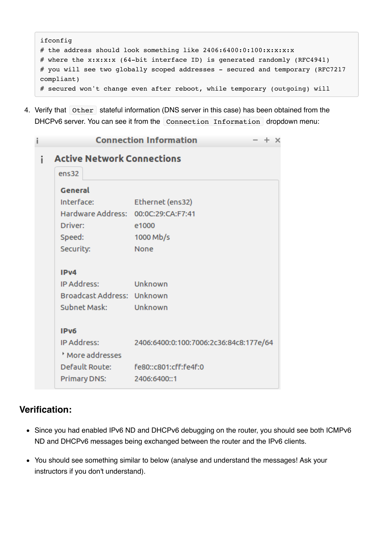```
ifconfig
# the address should look something like 2406:6400:0:100:x:x:x:x:x# where the x:x:x:x (64-bit interface ID) is generated randomly (RFC4941)
# you will see two globally scoped addresses - secured and temporary (RFC7217
compliant)
# secured won't change even after reboot, while temporary (outgoing) will
```
4. Verify that other stateful information (DNS server in this case) has been obtained from the DHCPv6 server. You can see it from the Connection Information dropdown menu:

| î | <b>Connection Information</b><br>× |                                        |
|---|------------------------------------|----------------------------------------|
| i | <b>Active Network Connections</b>  |                                        |
|   | ens32                              |                                        |
|   | General                            |                                        |
|   | Interface:                         | Ethernet (ens32)                       |
|   | Hardware Address:                  | 00:0C:29:CA:F7:41                      |
|   | Driver:                            | e1000                                  |
|   | Speed:                             | 1000 Mb/s                              |
|   | Security:                          | <b>None</b>                            |
|   |                                    |                                        |
|   | IPv4                               |                                        |
|   | IP Address:                        | Unknown                                |
|   | Broadcast Address: Unknown         |                                        |
|   | Subnet Mask:                       | Unknown                                |
|   | IP <sub>v6</sub>                   |                                        |
|   | IP Address:                        | 2406:6400:0:100:7006:2c36:84c8:177e/64 |
|   | More addresses                     |                                        |
|   | Default Route: The Sea             | fe80::c801:cff:fe4f:0                  |
|   | Primary DNS:                       | 2406:6400::1                           |

## **Verification:**

- Since you had enabled IPv6 ND and DHCPv6 debugging on the router, you should see both ICMPv6 ND and DHCPv6 messages being exchanged between the router and the IPv6 clients.
- You should see something similar to below (analyse and understand the messages! Ask your instructors if you don't understand).